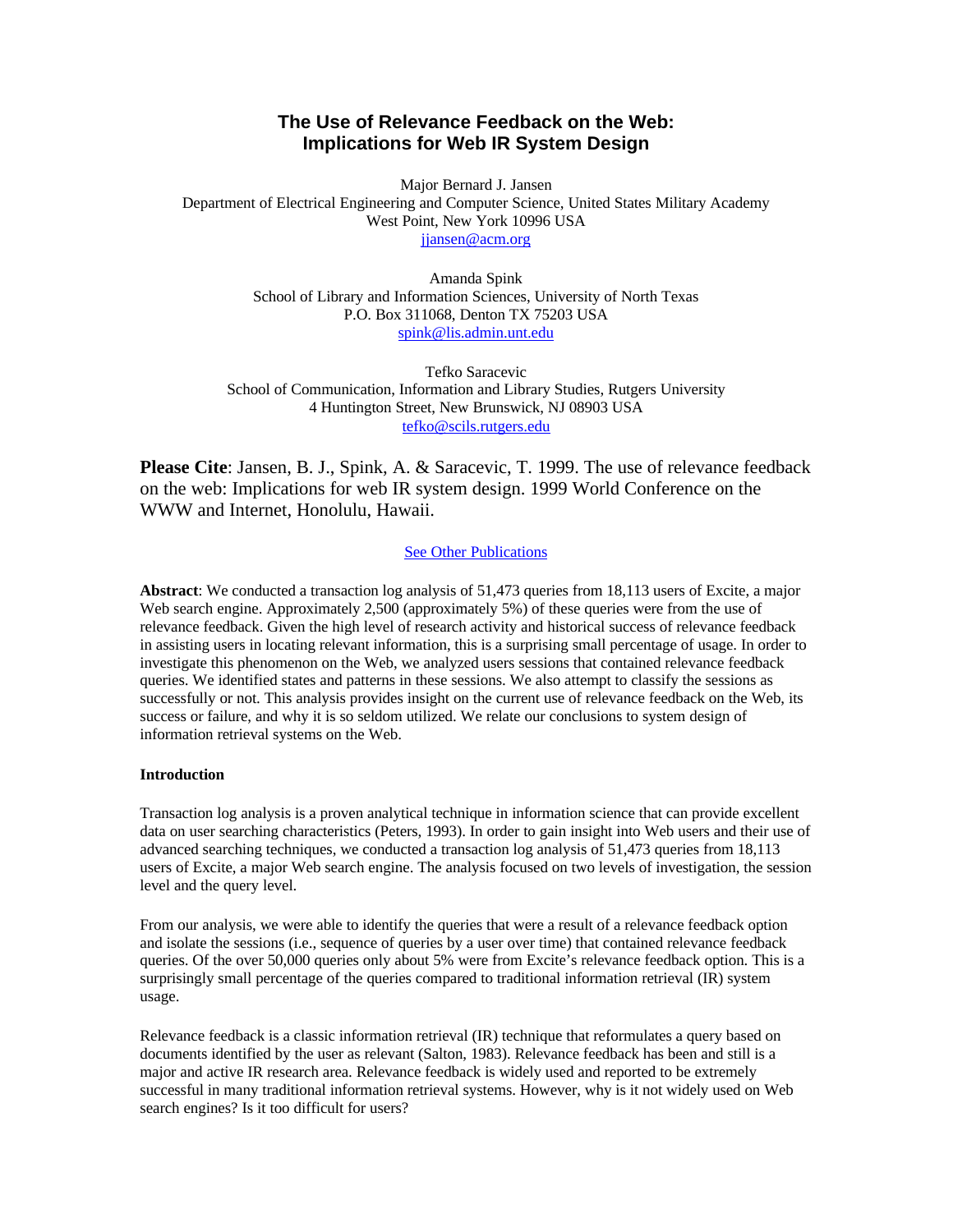# **The Use of Relevance Feedback on the Web: Implications for Web IR System Design**

Major Bernard J. Jansen Department of Electrical Engineering and Computer Science, United States Military Academy West Point, New York 10996 USA jjansen@acm.org

> Amanda Spink School of Library and Information Sciences, University of North Texas P.O. Box 311068, Denton TX 75203 USA spink@lis.admin.unt.edu

Tefko Saracevic School of Communication, Information and Library Studies, Rutgers University 4 Huntington Street, New Brunswick, NJ 08903 USA tefko@scils.rutgers.edu

**Please Cite**: Jansen, B. J., Spink, A. & Saracevic, T. 1999. The use of relevance feedback on the web: Implications for web IR system design. 1999 World Conference on the WWW and Internet, Honolulu, Hawaii.

# See Other Publications

**Abstract**: We conducted a transaction log analysis of 51,473 queries from 18,113 users of Excite, a major Web search engine. Approximately 2,500 (approximately 5%) of these queries were from the use of relevance feedback. Given the high level of research activity and historical success of relevance feedback in assisting users in locating relevant information, this is a surprising small percentage of usage. In order to investigate this phenomenon on the Web, we analyzed users sessions that contained relevance feedback queries. We identified states and patterns in these sessions. We also attempt to classify the sessions as successfully or not. This analysis provides insight on the current use of relevance feedback on the Web, its success or failure, and why it is so seldom utilized. We relate our conclusions to system design of information retrieval systems on the Web.

# **Introduction**

Transaction log analysis is a proven analytical technique in information science that can provide excellent data on user searching characteristics (Peters, 1993). In order to gain insight into Web users and their use of advanced searching techniques, we conducted a transaction log analysis of 51,473 queries from 18,113 users of Excite, a major Web search engine. The analysis focused on two levels of investigation, the session level and the query level.

From our analysis, we were able to identify the queries that were a result of a relevance feedback option and isolate the sessions (i.e., sequence of queries by a user over time) that contained relevance feedback queries. Of the over 50,000 queries only about 5% were from Excite's relevance feedback option. This is a surprisingly small percentage of the queries compared to traditional information retrieval (IR) system usage.

Relevance feedback is a classic information retrieval (IR) technique that reformulates a query based on documents identified by the user as relevant (Salton, 1983). Relevance feedback has been and still is a major and active IR research area. Relevance feedback is widely used and reported to be extremely successful in many traditional information retrieval systems. However, why is it not widely used on Web search engines? Is it too difficult for users?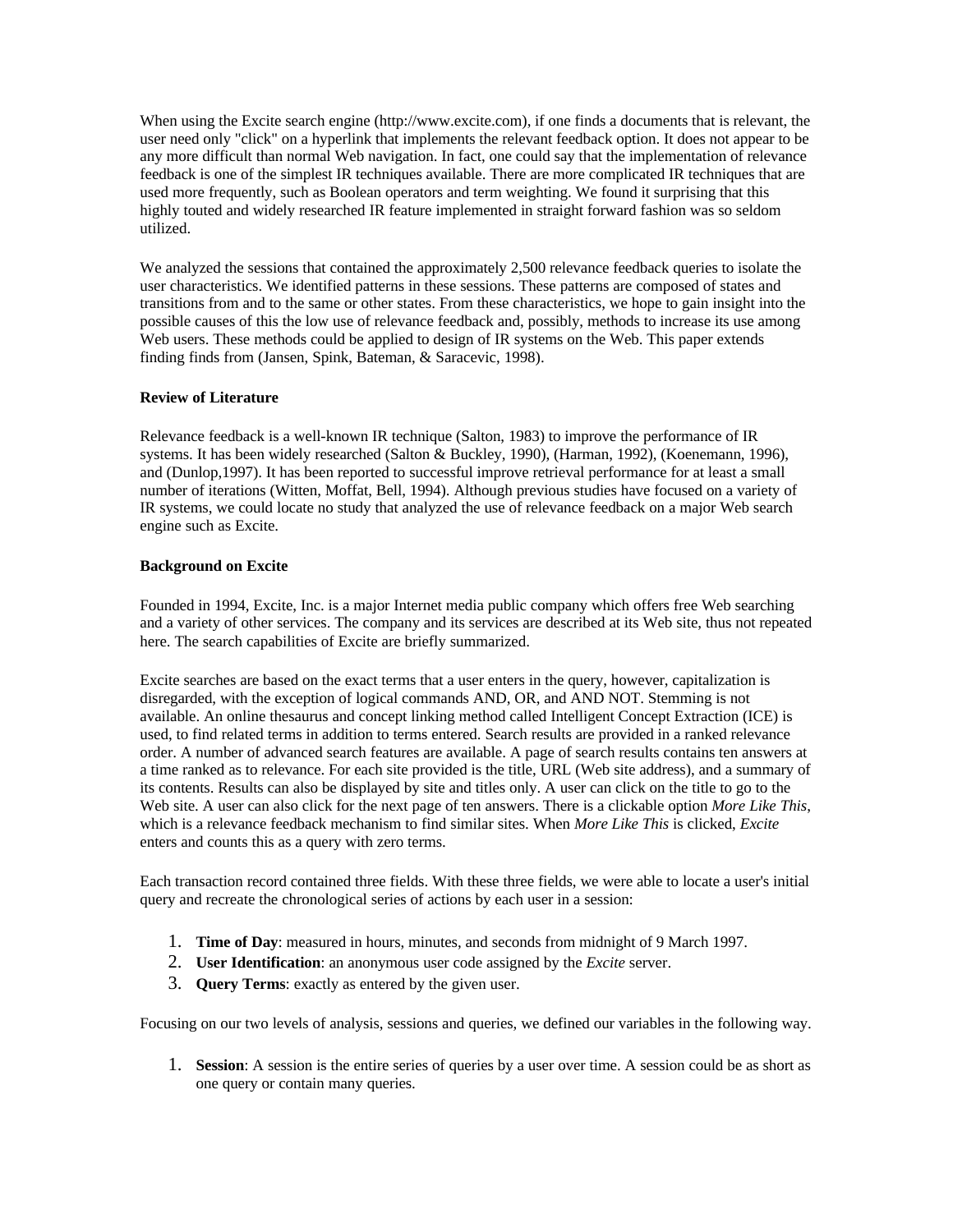When using the Excite search engine (http://www.excite.com), if one finds a documents that is relevant, the user need only "click" on a hyperlink that implements the relevant feedback option. It does not appear to be any more difficult than normal Web navigation. In fact, one could say that the implementation of relevance feedback is one of the simplest IR techniques available. There are more complicated IR techniques that are used more frequently, such as Boolean operators and term weighting. We found it surprising that this highly touted and widely researched IR feature implemented in straight forward fashion was so seldom utilized.

We analyzed the sessions that contained the approximately 2,500 relevance feedback queries to isolate the user characteristics. We identified patterns in these sessions. These patterns are composed of states and transitions from and to the same or other states. From these characteristics, we hope to gain insight into the possible causes of this the low use of relevance feedback and, possibly, methods to increase its use among Web users. These methods could be applied to design of IR systems on the Web. This paper extends finding finds from (Jansen, Spink, Bateman, & Saracevic, 1998).

# **Review of Literature**

Relevance feedback is a well-known IR technique (Salton, 1983) to improve the performance of IR systems. It has been widely researched (Salton & Buckley, 1990), (Harman, 1992), (Koenemann, 1996), and (Dunlop,1997). It has been reported to successful improve retrieval performance for at least a small number of iterations (Witten, Moffat, Bell, 1994). Although previous studies have focused on a variety of IR systems, we could locate no study that analyzed the use of relevance feedback on a major Web search engine such as Excite.

# **Background on Excite**

Founded in 1994, Excite, Inc. is a major Internet media public company which offers free Web searching and a variety of other services. The company and its services are described at its Web site, thus not repeated here. The search capabilities of Excite are briefly summarized.

Excite searches are based on the exact terms that a user enters in the query, however, capitalization is disregarded, with the exception of logical commands AND, OR, and AND NOT. Stemming is not available. An online thesaurus and concept linking method called Intelligent Concept Extraction (ICE) is used, to find related terms in addition to terms entered. Search results are provided in a ranked relevance order. A number of advanced search features are available. A page of search results contains ten answers at a time ranked as to relevance. For each site provided is the title, URL (Web site address), and a summary of its contents. Results can also be displayed by site and titles only. A user can click on the title to go to the Web site. A user can also click for the next page of ten answers. There is a clickable option *More Like This*, which is a relevance feedback mechanism to find similar sites. When *More Like This* is clicked, *Excite* enters and counts this as a query with zero terms.

Each transaction record contained three fields. With these three fields, we were able to locate a user's initial query and recreate the chronological series of actions by each user in a session:

- 1. **Time of Day**: measured in hours, minutes, and seconds from midnight of 9 March 1997.
- 2. **User Identification**: an anonymous user code assigned by the *Excite* server.
- 3. **Query Terms**: exactly as entered by the given user.

Focusing on our two levels of analysis, sessions and queries, we defined our variables in the following way.

1. **Session**: A session is the entire series of queries by a user over time. A session could be as short as one query or contain many queries.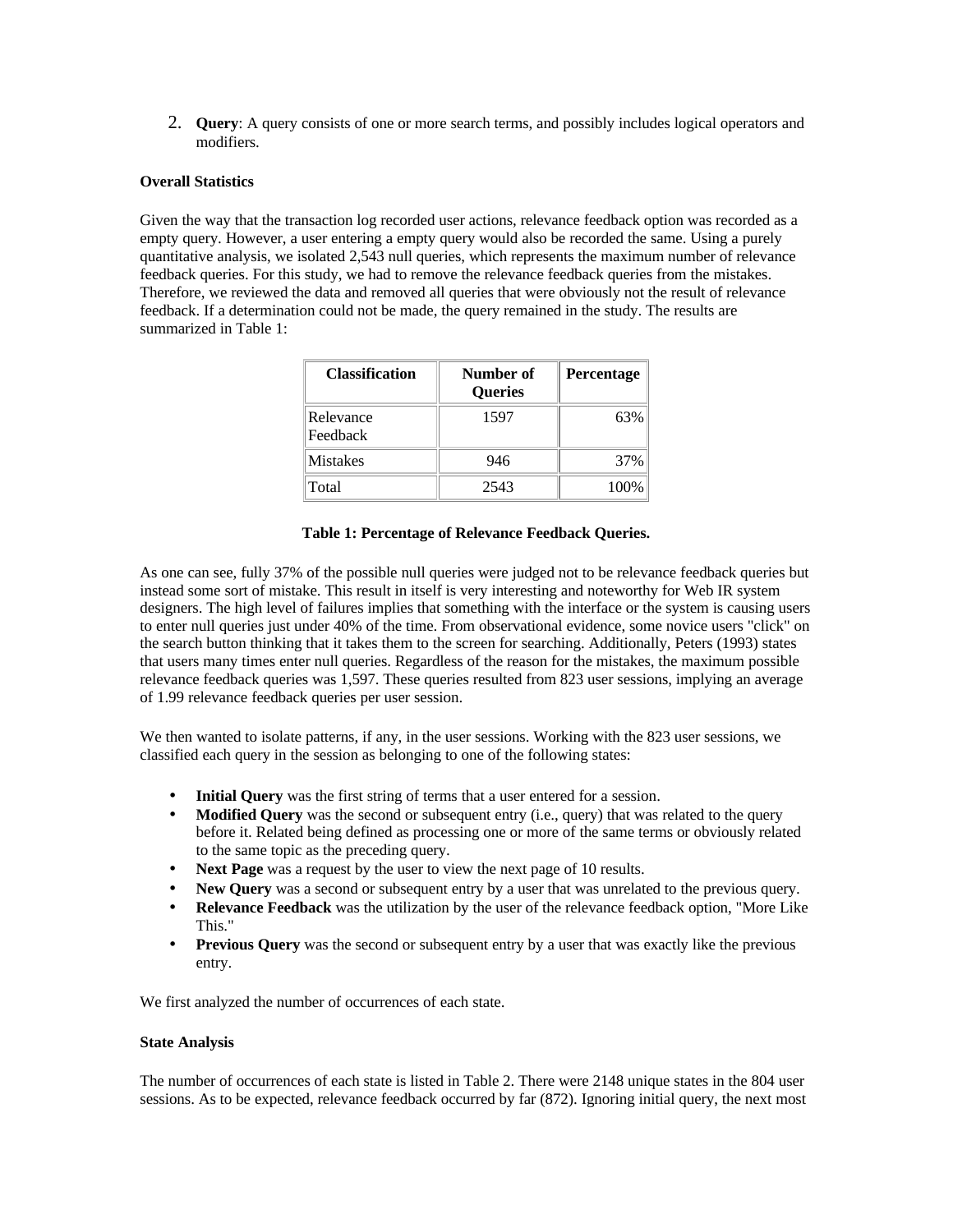2. **Query**: A query consists of one or more search terms, and possibly includes logical operators and modifiers.

# **Overall Statistics**

Given the way that the transaction log recorded user actions, relevance feedback option was recorded as a empty query. However, a user entering a empty query would also be recorded the same. Using a purely quantitative analysis, we isolated 2,543 null queries, which represents the maximum number of relevance feedback queries. For this study, we had to remove the relevance feedback queries from the mistakes. Therefore, we reviewed the data and removed all queries that were obviously not the result of relevance feedback. If a determination could not be made, the query remained in the study. The results are summarized in Table 1:

| <b>Classification</b> | Number of<br><b>Queries</b> | Percentage |
|-----------------------|-----------------------------|------------|
| Relevance<br>Feedback | 1597                        |            |
| Mistakes              | 946                         | 37%        |
| Total                 | 2543                        | 100%       |

#### **Table 1: Percentage of Relevance Feedback Queries.**

As one can see, fully 37% of the possible null queries were judged not to be relevance feedback queries but instead some sort of mistake. This result in itself is very interesting and noteworthy for Web IR system designers. The high level of failures implies that something with the interface or the system is causing users to enter null queries just under 40% of the time. From observational evidence, some novice users "click" on the search button thinking that it takes them to the screen for searching. Additionally, Peters (1993) states that users many times enter null queries. Regardless of the reason for the mistakes, the maximum possible relevance feedback queries was 1,597. These queries resulted from 823 user sessions, implying an average of 1.99 relevance feedback queries per user session.

We then wanted to isolate patterns, if any, in the user sessions. Working with the 823 user sessions, we classified each query in the session as belonging to one of the following states:

- **Initial Query** was the first string of terms that a user entered for a session.
- **Modified Query** was the second or subsequent entry (i.e., query) that was related to the query before it. Related being defined as processing one or more of the same terms or obviously related to the same topic as the preceding query.
- **Next Page** was a request by the user to view the next page of 10 results.
- **New Query** was a second or subsequent entry by a user that was unrelated to the previous query.
- **Relevance Feedback** was the utilization by the user of the relevance feedback option, "More Like This."
- **Previous Query** was the second or subsequent entry by a user that was exactly like the previous entry.

We first analyzed the number of occurrences of each state.

#### **State Analysis**

The number of occurrences of each state is listed in Table 2. There were 2148 unique states in the 804 user sessions. As to be expected, relevance feedback occurred by far (872). Ignoring initial query, the next most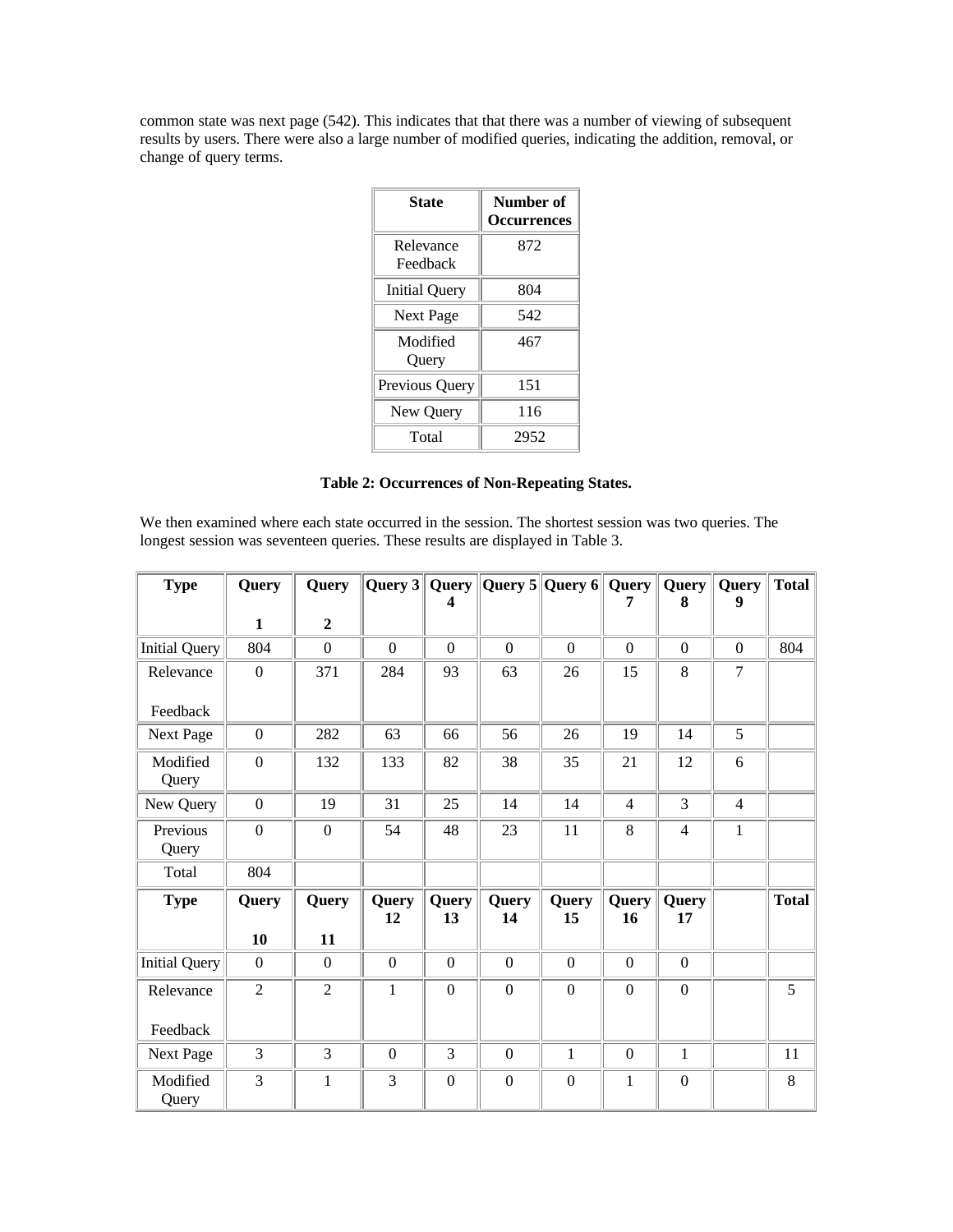common state was next page (542). This indicates that that there was a number of viewing of subsequent results by users. There were also a large number of modified queries, indicating the addition, removal, or change of query terms.

| State                 | Number of<br>Occurrences |
|-----------------------|--------------------------|
| Relevance<br>Feedback | 872                      |
| <b>Initial Query</b>  | 804                      |
| Next Page             | 542                      |
| Modified<br>Query     | 467                      |
| Previous Query        | 151                      |
| New Query             | 116                      |
| Total                 | 2952                     |

# **Table 2: Occurrences of Non-Repeating States.**

We then examined where each state occurred in the session. The shortest session was two queries. The longest session was seventeen queries. These results are displayed in Table 3.

| <b>Type</b>           | Query            | Query            |                  |                  | Query 3 Query   Query 5   Query 6   Query |                  | 7                | Query<br>8       | <b>Query</b><br>9 | <b>Total</b> |
|-----------------------|------------------|------------------|------------------|------------------|-------------------------------------------|------------------|------------------|------------------|-------------------|--------------|
|                       | $\mathbf{1}$     | $\overline{2}$   |                  |                  |                                           |                  |                  |                  |                   |              |
| <b>Initial Query</b>  | 804              | $\boldsymbol{0}$ | $\boldsymbol{0}$ | $\Omega$         | $\Omega$                                  | $\theta$         | $\boldsymbol{0}$ | $\boldsymbol{0}$ | $\boldsymbol{0}$  | 804          |
| Relevance<br>Feedback | $\boldsymbol{0}$ | 371              | 284              | 93               | 63                                        | 26               | 15               | 8                | $\tau$            |              |
| Next Page             | $\boldsymbol{0}$ | 282              | 63               | 66               | 56                                        | 26               | 19               | 14               | 5                 |              |
| Modified<br>Query     | $\boldsymbol{0}$ | 132              | 133              | 82               | 38                                        | 35               | 21               | 12               | 6                 |              |
| New Query             | $\boldsymbol{0}$ | 19               | 31               | 25               | 14                                        | 14               | 4                | 3                | 4                 |              |
| Previous<br>Query     | $\boldsymbol{0}$ | $\boldsymbol{0}$ | 54               | 48               | 23                                        | 11               | 8                | $\overline{4}$   | $\mathbf{1}$      |              |
| Total                 | 804              |                  |                  |                  |                                           |                  |                  |                  |                   |              |
| <b>Type</b>           | Query            | Query            | Query<br>12      | Query<br>13      | Query<br>14                               | Query<br>15      | Query<br>16      | Query<br>17      |                   | <b>Total</b> |
|                       | 10               | 11               |                  |                  |                                           |                  |                  |                  |                   |              |
| <b>Initial Query</b>  | $\boldsymbol{0}$ | $\boldsymbol{0}$ | $\boldsymbol{0}$ | $\mathbf{0}$     | $\boldsymbol{0}$                          | $\boldsymbol{0}$ | $\boldsymbol{0}$ | $\boldsymbol{0}$ |                   |              |
| Relevance<br>Feedback | $\overline{2}$   | $\overline{2}$   | $\mathbf{1}$     | $\boldsymbol{0}$ | $\boldsymbol{0}$                          | $\boldsymbol{0}$ | $\mathbf{0}$     | $\overline{0}$   |                   | 5            |
| Next Page             | 3                | 3                | $\boldsymbol{0}$ | 3                | $\boldsymbol{0}$                          | $\mathbf{1}$     | $\boldsymbol{0}$ | $\mathbf{1}$     |                   | 11           |
| Modified<br>Query     | 3                | 1                | 3                | $\mathbf{0}$     | $\theta$                                  | $\boldsymbol{0}$ | 1                | $\boldsymbol{0}$ |                   | 8            |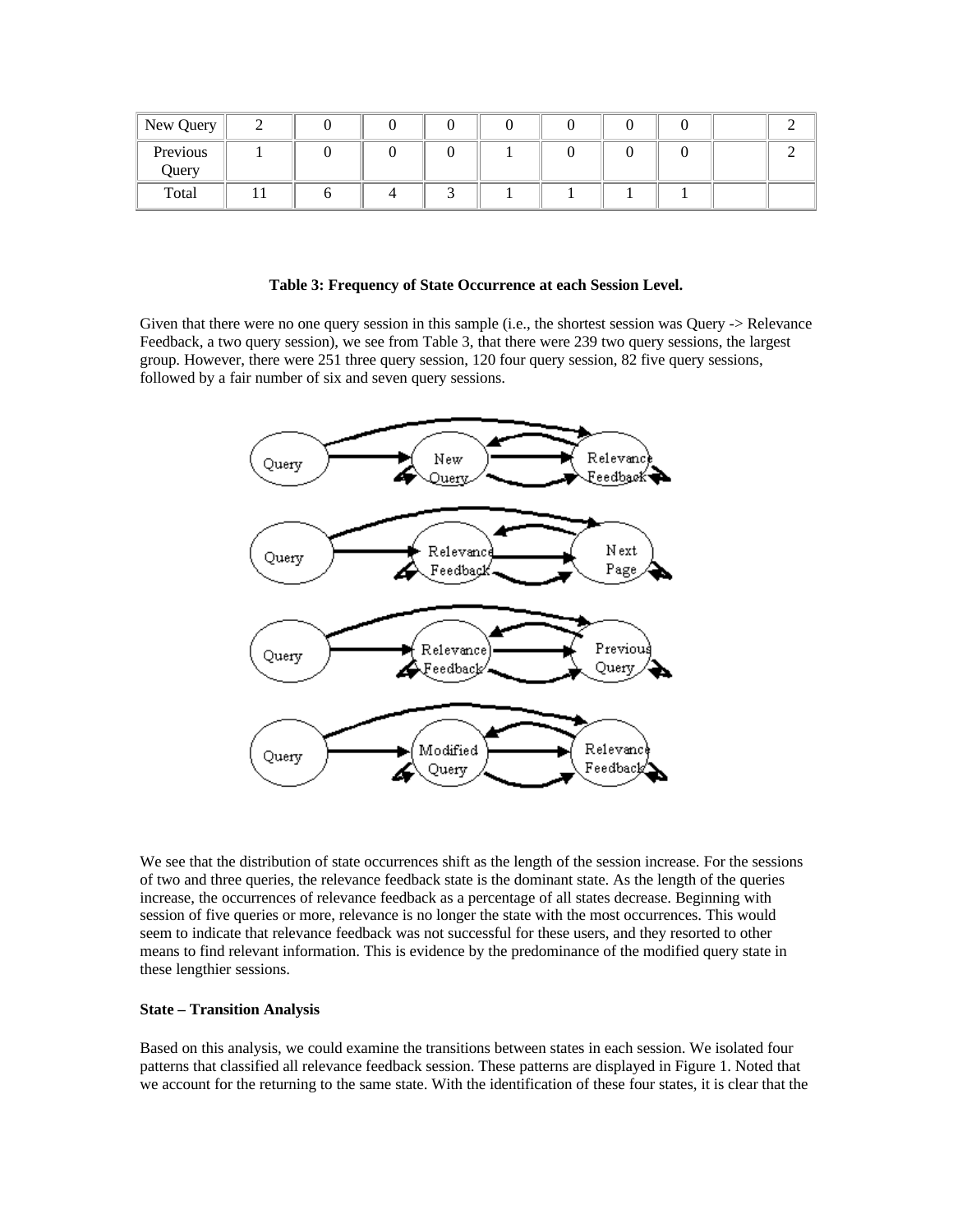| New Query         |  |  |  |  |  |
|-------------------|--|--|--|--|--|
| Previous<br>Query |  |  |  |  |  |
| Total             |  |  |  |  |  |

# **Table 3: Frequency of State Occurrence at each Session Level.**

Given that there were no one query session in this sample (i.e., the shortest session was Query -> Relevance Feedback, a two query session), we see from Table 3, that there were 239 two query sessions, the largest group. However, there were 251 three query session, 120 four query session, 82 five query sessions, followed by a fair number of six and seven query sessions.



We see that the distribution of state occurrences shift as the length of the session increase. For the sessions of two and three queries, the relevance feedback state is the dominant state. As the length of the queries increase, the occurrences of relevance feedback as a percentage of all states decrease. Beginning with session of five queries or more, relevance is no longer the state with the most occurrences. This would seem to indicate that relevance feedback was not successful for these users, and they resorted to other means to find relevant information. This is evidence by the predominance of the modified query state in these lengthier sessions.

#### **State – Transition Analysis**

Based on this analysis, we could examine the transitions between states in each session. We isolated four patterns that classified all relevance feedback session. These patterns are displayed in Figure 1. Noted that we account for the returning to the same state. With the identification of these four states, it is clear that the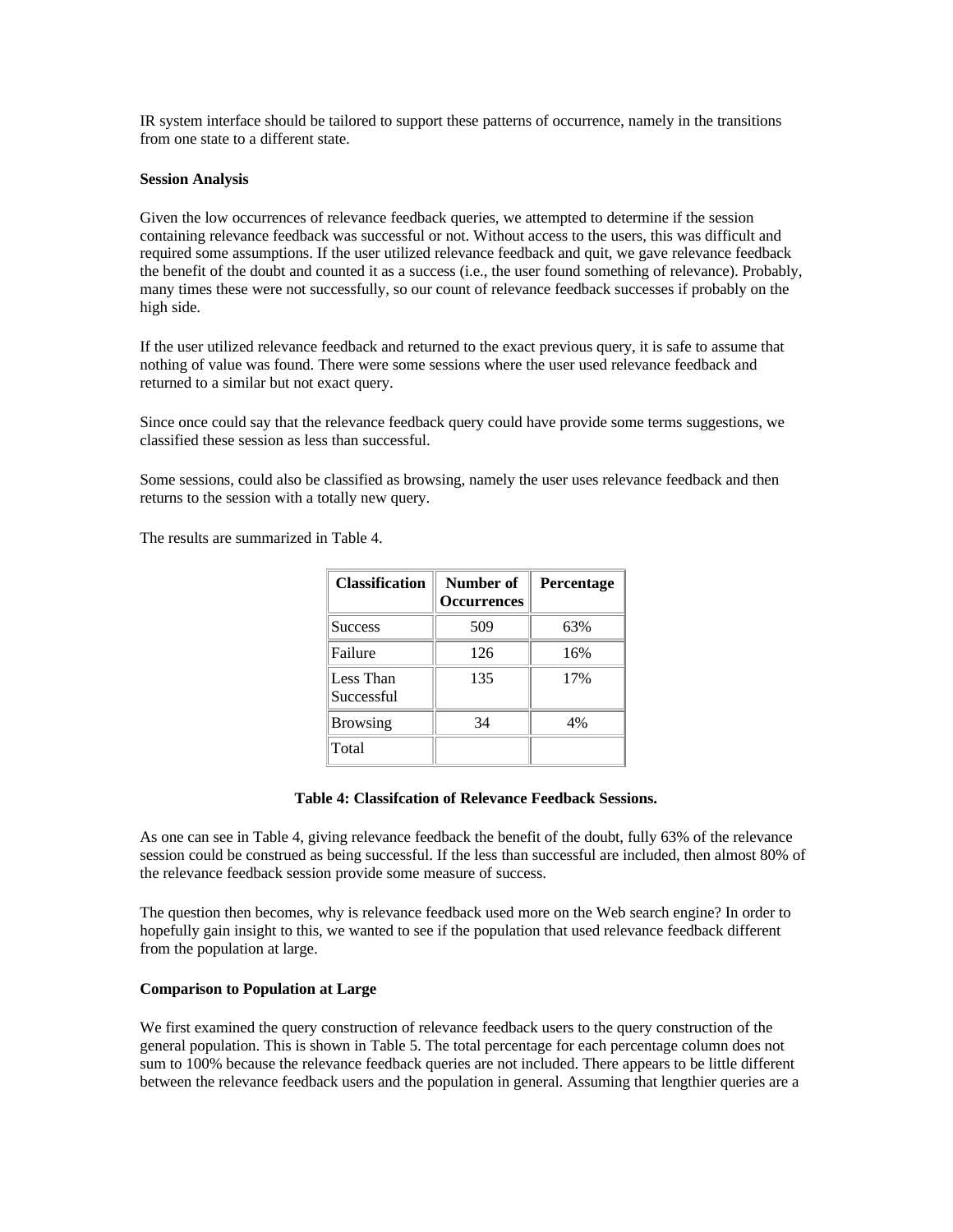IR system interface should be tailored to support these patterns of occurrence, namely in the transitions from one state to a different state.

#### **Session Analysis**

Given the low occurrences of relevance feedback queries, we attempted to determine if the session containing relevance feedback was successful or not. Without access to the users, this was difficult and required some assumptions. If the user utilized relevance feedback and quit, we gave relevance feedback the benefit of the doubt and counted it as a success (i.e., the user found something of relevance). Probably, many times these were not successfully, so our count of relevance feedback successes if probably on the high side.

If the user utilized relevance feedback and returned to the exact previous query, it is safe to assume that nothing of value was found. There were some sessions where the user used relevance feedback and returned to a similar but not exact query.

Since once could say that the relevance feedback query could have provide some terms suggestions, we classified these session as less than successful.

Some sessions, could also be classified as browsing, namely the user uses relevance feedback and then returns to the session with a totally new query.

The results are summarized in Table 4.

| <b>Classification</b>   | Number of<br><b>Occurrences</b> | Percentage |
|-------------------------|---------------------------------|------------|
| <b>Success</b>          | 509                             | 63%        |
| Failure                 | 126                             | 16%        |
| Less Than<br>Successful | 135                             | 17%        |
| <b>Browsing</b>         | 34                              | 4%         |
| Total                   |                                 |            |

#### **Table 4: Classifcation of Relevance Feedback Sessions.**

As one can see in Table 4, giving relevance feedback the benefit of the doubt, fully 63% of the relevance session could be construed as being successful. If the less than successful are included, then almost 80% of the relevance feedback session provide some measure of success.

The question then becomes, why is relevance feedback used more on the Web search engine? In order to hopefully gain insight to this, we wanted to see if the population that used relevance feedback different from the population at large.

# **Comparison to Population at Large**

We first examined the query construction of relevance feedback users to the query construction of the general population. This is shown in Table 5. The total percentage for each percentage column does not sum to 100% because the relevance feedback queries are not included. There appears to be little different between the relevance feedback users and the population in general. Assuming that lengthier queries are a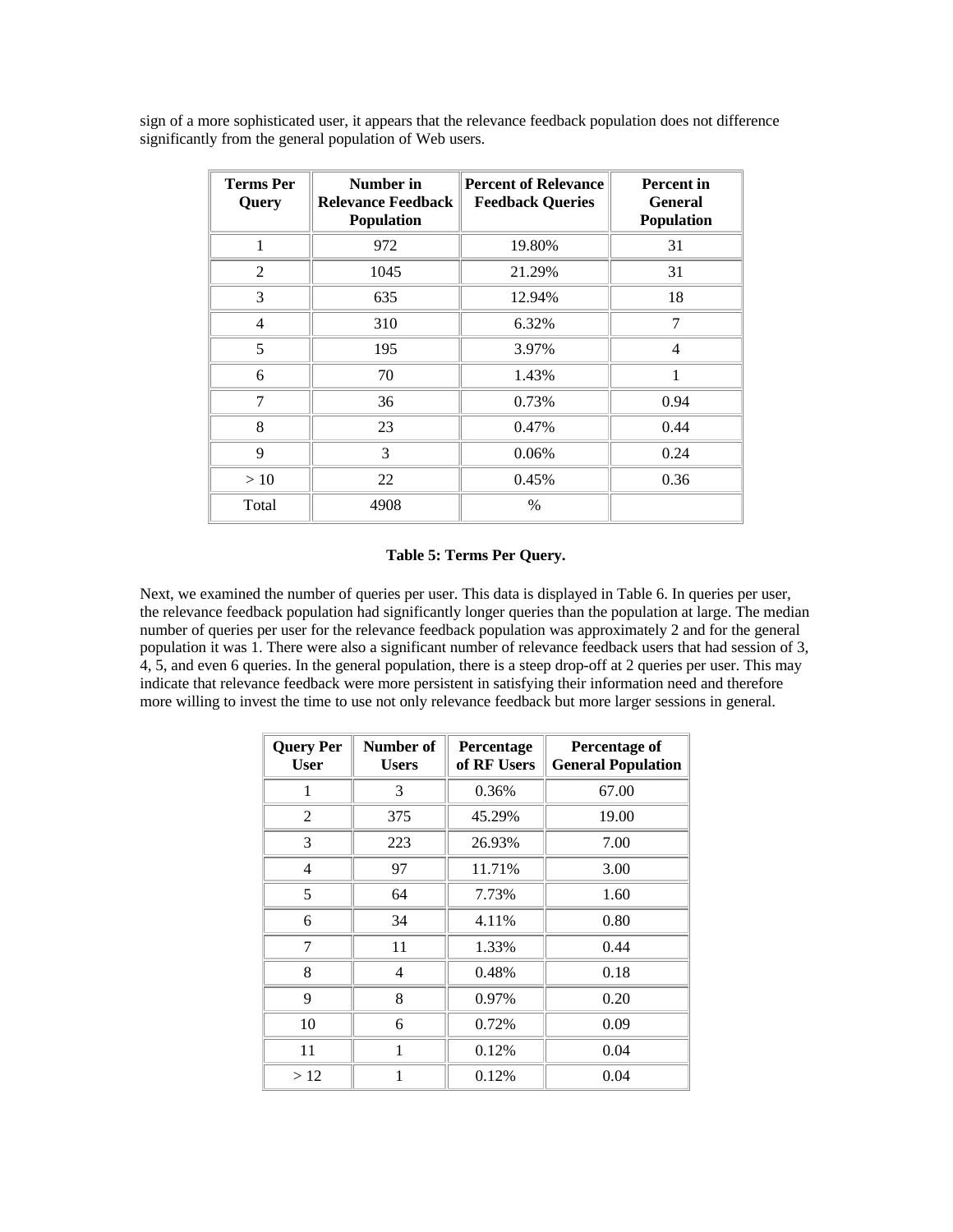sign of a more sophisticated user, it appears that the relevance feedback population does not difference significantly from the general population of Web users.

| <b>Terms Per</b><br>Query | Number in<br><b>Relevance Feedback</b><br><b>Population</b> | <b>Percent of Relevance</b><br><b>Feedback Queries</b> | <b>Percent</b> in<br><b>General</b><br>Population |
|---------------------------|-------------------------------------------------------------|--------------------------------------------------------|---------------------------------------------------|
| $\mathbf{1}$              | 972                                                         | 19.80%                                                 | 31                                                |
| $\overline{2}$            | 1045                                                        | 21.29%                                                 | 31                                                |
| 3                         | 635                                                         | 12.94%                                                 | 18                                                |
| $\overline{4}$            | 310                                                         | 6.32%                                                  | 7                                                 |
| 5                         | 195                                                         | 3.97%                                                  | $\overline{4}$                                    |
| 6                         | 70                                                          | 1.43%                                                  | 1                                                 |
| 7                         | 36                                                          | 0.73%                                                  | 0.94                                              |
| 8                         | 23                                                          | 0.47%                                                  | 0.44                                              |
| 9                         | 3                                                           | 0.06%                                                  | 0.24                                              |
| >10                       | 22                                                          | 0.45%                                                  | 0.36                                              |
| Total                     | 4908                                                        | $\%$                                                   |                                                   |

# **Table 5: Terms Per Query.**

Next, we examined the number of queries per user. This data is displayed in Table 6. In queries per user, the relevance feedback population had significantly longer queries than the population at large. The median number of queries per user for the relevance feedback population was approximately 2 and for the general population it was 1. There were also a significant number of relevance feedback users that had session of 3, 4, 5, and even 6 queries. In the general population, there is a steep drop-off at 2 queries per user. This may indicate that relevance feedback were more persistent in satisfying their information need and therefore more willing to invest the time to use not only relevance feedback but more larger sessions in general.

| <b>Query Per</b><br><b>User</b> | Number of<br><b>Users</b> | Percentage<br>of RF Users | Percentage of<br><b>General Population</b> |
|---------------------------------|---------------------------|---------------------------|--------------------------------------------|
| 1                               | 3                         | 0.36%                     | 67.00                                      |
| 2                               | 375                       | 45.29%                    | 19.00                                      |
| 3                               | 223                       | 26.93%                    | 7.00                                       |
| 4                               | 97                        | 11.71%                    | 3.00                                       |
| 5                               | 64                        | 7.73%                     | 1.60                                       |
| 6                               | 34                        | 4.11%                     | 0.80                                       |
| 7                               | 11                        | 1.33%                     | 0.44                                       |
| 8                               | 4                         | 0.48%                     | 0.18                                       |
| 9                               | 8                         | 0.97%                     | 0.20                                       |
| 10                              | 6                         | 0.72%                     | 0.09                                       |
| 11                              | 1                         | 0.12%                     | 0.04                                       |
| >12                             | 1                         | 0.12%                     | 0.04                                       |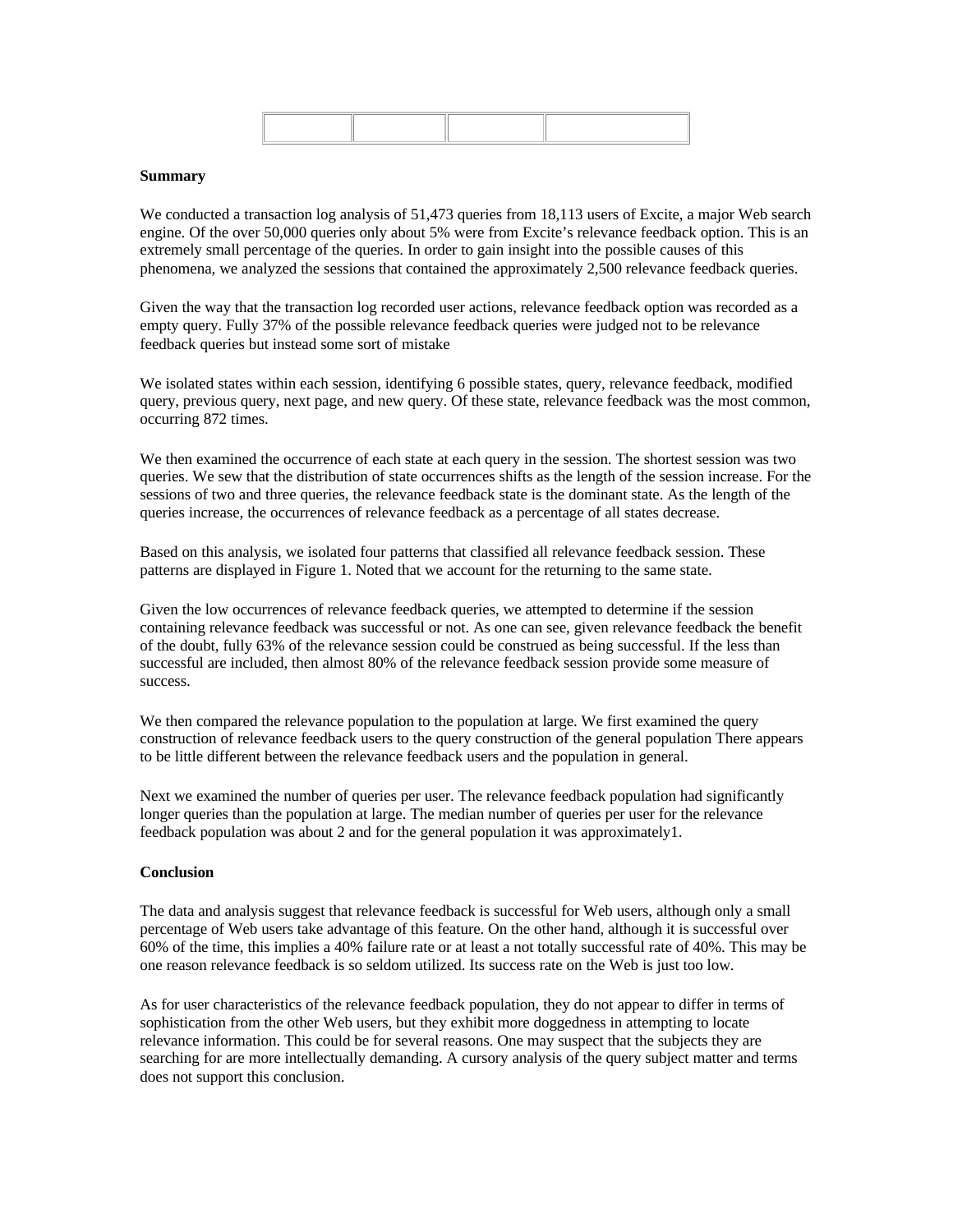#### **Summary**

We conducted a transaction log analysis of 51,473 queries from 18,113 users of Excite, a major Web search engine. Of the over 50,000 queries only about 5% were from Excite's relevance feedback option. This is an extremely small percentage of the queries. In order to gain insight into the possible causes of this phenomena, we analyzed the sessions that contained the approximately 2,500 relevance feedback queries.

Given the way that the transaction log recorded user actions, relevance feedback option was recorded as a empty query. Fully 37% of the possible relevance feedback queries were judged not to be relevance feedback queries but instead some sort of mistake

We isolated states within each session, identifying 6 possible states, query, relevance feedback, modified query, previous query, next page, and new query. Of these state, relevance feedback was the most common, occurring 872 times.

We then examined the occurrence of each state at each query in the session. The shortest session was two queries. We sew that the distribution of state occurrences shifts as the length of the session increase. For the sessions of two and three queries, the relevance feedback state is the dominant state. As the length of the queries increase, the occurrences of relevance feedback as a percentage of all states decrease.

Based on this analysis, we isolated four patterns that classified all relevance feedback session. These patterns are displayed in Figure 1. Noted that we account for the returning to the same state.

Given the low occurrences of relevance feedback queries, we attempted to determine if the session containing relevance feedback was successful or not. As one can see, given relevance feedback the benefit of the doubt, fully 63% of the relevance session could be construed as being successful. If the less than successful are included, then almost 80% of the relevance feedback session provide some measure of success.

We then compared the relevance population to the population at large. We first examined the query construction of relevance feedback users to the query construction of the general population There appears to be little different between the relevance feedback users and the population in general.

Next we examined the number of queries per user. The relevance feedback population had significantly longer queries than the population at large. The median number of queries per user for the relevance feedback population was about 2 and for the general population it was approximately1.

# **Conclusion**

The data and analysis suggest that relevance feedback is successful for Web users, although only a small percentage of Web users take advantage of this feature. On the other hand, although it is successful over 60% of the time, this implies a 40% failure rate or at least a not totally successful rate of 40%. This may be one reason relevance feedback is so seldom utilized. Its success rate on the Web is just too low.

As for user characteristics of the relevance feedback population, they do not appear to differ in terms of sophistication from the other Web users, but they exhibit more doggedness in attempting to locate relevance information. This could be for several reasons. One may suspect that the subjects they are searching for are more intellectually demanding. A cursory analysis of the query subject matter and terms does not support this conclusion.